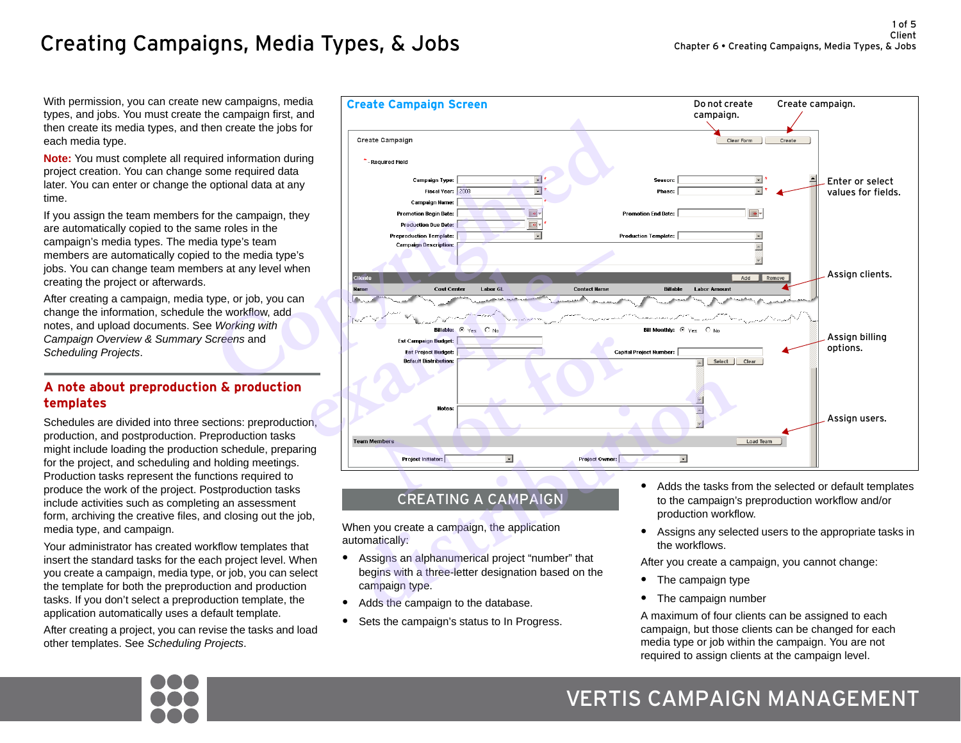# Creating Campaigns, Media Types, & Jobs

With permission, you can create new campaigns, media types, and jobs. You must create the campaign first, and then create its media types, and then create the jobs for each media type.

**Note:** You must complete all required information during project creation. You can change some required data later. You can enter or change the optional data at any time.

If you assign the team members for the campaign, they are automatically copied to the same roles in the campaign's media types. The media type's team members are automatically copied to the media type's jobs. You can change team members at any level when creating the project or afterwards.

After creating a campaign, media type, or job, you can change the information, schedule the workflow, add notes, and upload documents. See *Working with Campaign Overview & Summary Screens* and *[Scheduling Projects](#page-5-0)*.

# **A note about preproduction & production templates**

Schedules are divided into three sections: preproduction, production, and postproduction. Preproduction tasks might include loading the production schedule, preparing for the project, and scheduling and holding meetings. Production tasks represent the functions required to produce the work of the project. Postproduction tasks include activities such as completing an assessment form, archiving the creative files, and closing out the job, media type, and campaign.

Your administrator has created workflow templates that insert the standard tasks for the each project level. When you create a campaign, media type, or job, you can select the template for both the preproduction and production tasks. If you don't select a preproduction template, the application automatically uses a default template.

After creating a project, you can revise the tasks and load other templates. See *[Scheduling Projects](#page-5-0)*.



# CREATING A CAMPAIGN

When you create a campaign, the application automatically:

- **•** Assigns an alphanumerical project "number" that begins with a three-letter designation based on the campaign type.
- **•** Adds the campaign to the database.
- **•** Sets the campaign's status to In Progress.
- **•** Adds the tasks from the selected or default templates to the campaign's preproduction workflow and/or production workflow.
- **•** Assigns any selected users to the appropriate tasks in the workflows.

After you create a campaign, you cannot change:

- **•** The campaign type
- **•** The campaign number

A maximum of four clients can be assigned to each campaign, but those clients can be changed for each media type or job within the campaign. You are not required to assign clients at the campaign level.



# VERTIS CAMPAIGN MANAGEMENT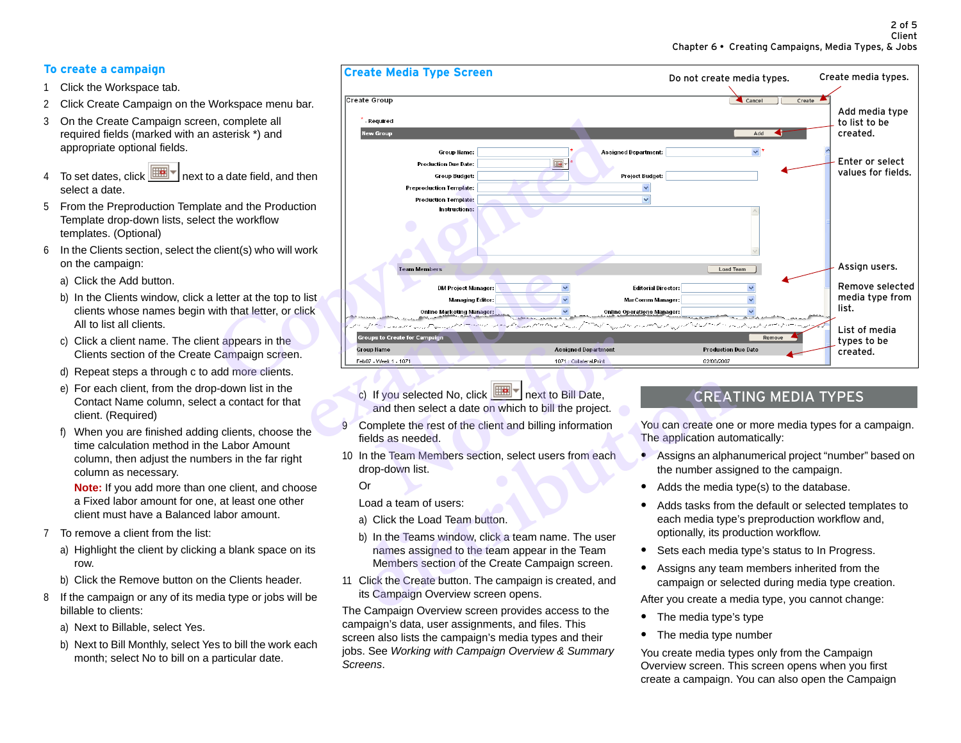# **To create a campaign**

- 1 Click the Workspace tab.
- 2 Click Create Campaign on the Workspace menu bar.
- 3 On the Create Campaign screen, complete all required fields (marked with an asterisk \*) and appropriate optional fields.
- 4 To set dates, click  $\boxed{m}$  next to a date field, and then select a date.
- 5 From the Preproduction Template and the Production Template drop-down lists, select the workflow templates. (Optional)
- <span id="page-1-1"></span><span id="page-1-0"></span>6 In the Clients section, select the client(s) who will work on the campaign:
	- a) Click the Add button.
	- b) In the Clients window, click a letter at the top to list clients whose names begin with that letter, or click All to list all clients.
	- c) Click a client name. The client appears in the Clients section of the Create Campaign screen.
	- d) Repeat steps [a](#page-1-0) through [c](#page-1-1) to add more clients.
	- e) For each client, from the drop-down list in the Contact Name column, select a contact for that client. (Required)
	- f) When you are finished adding clients, choose the time calculation method in the Labor Amount column, then adjust the numbers in the far right column as necessary.

**Note:** If you add more than one client, and choose a Fixed labor amount for one, at least one other client must have a Balanced labor amount.

- 7 To remove a client from the list:
	- a) Highlight the client by clicking a blank space on its row.
	- b) Click the Remove button on the Clients header.
- 8 If the campaign or any of its media type or jobs will be billable to clients:
	- a) Next to Billable, select Yes.
	- b) Next to Bill Monthly, select Yes to bill the work each month; select No to bill on a particular date.



- c) If you selected No, click  $\boxed{[1]}$  next to Bill Date. and then select a date on which to bill the project.
- 9 Complete the rest of the client and billing information fields as needed.
- 10 In the Team Members section, select users from each drop-down list.

Or

Load a team of users:

- a) Click the Load Team button.
- b) In the Teams window, click a team name. The user names assigned to the team appear in the Team Members section of the Create Campaign screen. CREAT and then selected No, click **and** then select a date on which to bill the project.<br>
CREAT and then select a date on which to bill the project.<br>
The application auto<br>
are dieds as needed.<br>
In the Team Members section,
- 11 Click the Create button. The campaign is created, and its Campaign Overview screen opens.

The Campaign Overview screen provides access to the campaign's data, user assignments, and files. This screen also lists the campaign's media types and their jobs. See *Working with Campaign Overview & Summary Screens*.

# CREATING MEDIA TYPES

You can create one or more media types for a campaign. The application automatically:

- **•** Assigns an alphanumerical project "number" based on the number assigned to the campaign.
- **•** Adds the media type(s) to the database.
- **•** Adds tasks from the default or selected templates to each media type's preproduction workflow and, optionally, its production workflow.
- **•** Sets each media type's status to In Progress.
- **•** Assigns any team members inherited from the campaign or selected during media type creation.

After you create a media type, you cannot change:

- **•** The media type's type
- **•** The media type number

You create media types only from the Campaign Overview screen. This screen opens when you first create a campaign. You can also open the Campaign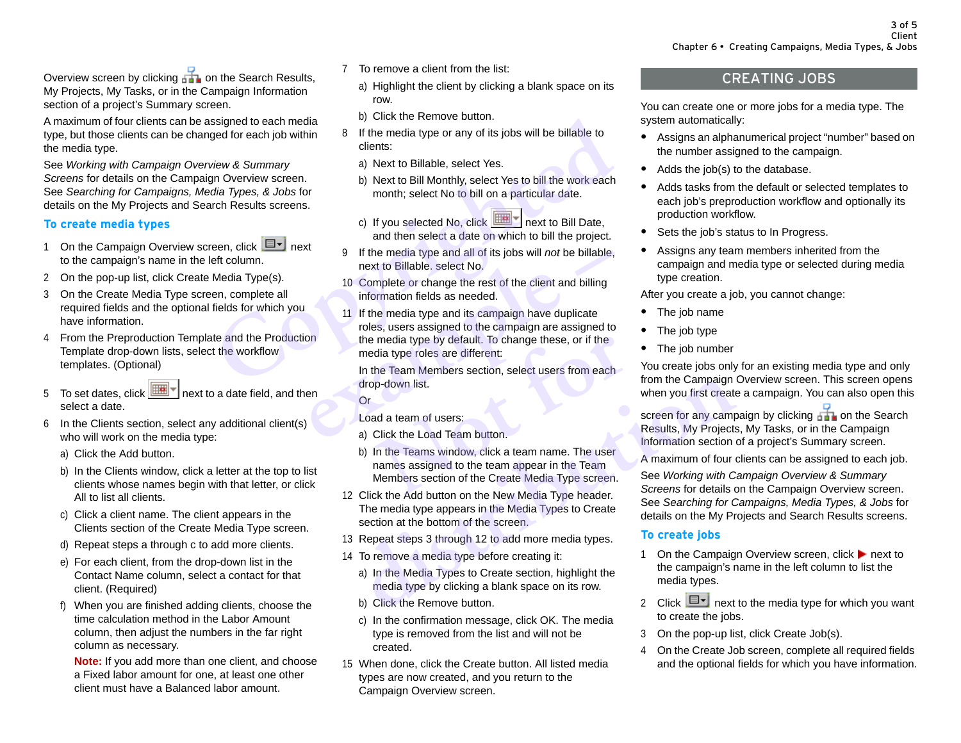Overview screen by clicking **on the Search Results**, My Projects, My Tasks, or in the Campaign Information section of a project's Summary screen.

A maximum of four clients can be assigned to each media type, but those clients can be changed for each job within the media type.

See *Working with Campaign Overview & Summary Screens* for details on the Campaign Overview screen. See *Searching for Campaigns, Media Types, & Jobs* for details on the My Projects and Search Results screens.

#### **To create media types**

- 1 On the Campaign Overview screen, click  $\Box$  next to the campaign's name in the left column.
- 2 On the pop-up list, click Create Media Type(s).
- <span id="page-2-2"></span>3 On the Create Media Type screen, complete all required fields and the optional fields for which you have information.
- 4 From the Preproduction Template and the Production Template drop-down lists, select the workflow templates. (Optional)
- 5 To set dates, click  $\boxed{m}$  next to a date field, and then select a date.
- <span id="page-2-1"></span><span id="page-2-0"></span>6 In the Clients section, select any additional client(s) who will work on the media type:
	- a) Click the Add button.
	- b) In the Clients window, click a letter at the top to list clients whose names begin with that letter, or click All to list all clients.
	- c) Click a client name. The client appears in the Clients section of the Create Media Type screen.
	- d) Repeat steps [a](#page-2-0) through [c](#page-2-1) to add more clients.
	- e) For each client, from the drop-down list in the Contact Name column, select a contact for that client. (Required)
	- f) When you are finished adding clients, choose the time calculation method in the Labor Amount column, then adjust the numbers in the far right column as necessary.

**Note:** If you add more than one client, and choose a Fixed labor amount for one, at least one other client must have a Balanced labor amount.

- 7 To remove a client from the list:
	- a) Highlight the client by clicking a blank space on its row.
	- b) Click the Remove button.
- 8 If the media type or any of its jobs will be billable to clients:
	- a) Next to Billable, select Yes.
	- b) Next to Bill Monthly, select Yes to bill the work each month; select No to bill on a particular date.
	- c) If you selected No, click  $\boxed{\boxed{ \Box \Box \Box \ } }$  next to Bill Date, and then select a date on which to bill the project.
- 9 If the media type and all of its jobs will *not* be billable, next to Billable. select No.
- 10 Complete or change the rest of the client and billing information fields as needed.
- 11 If the media type and its campaign have duplicate roles, users assigned to the campaign are assigned to the media type by default. To change these, or if the media type roles are different: Signed to each media<br> *Copyrighted* by the media type or any of its jobs will be billable to<br> *Copyrighted* for each job within a selection:<br> *Copyrighted* Copyrighted Consists:<br>
Copyrighted Copyright and the select No to If the media type and all of its jobs will *not* be billable,<br>next to Billable. select No.<br>10 Complete or change the rest of the client and billing<br>information fields as needed.<br>11 If the media type and its campaign have d

In the Team Members section, select users from each drop-down list.

#### Or

Load a team of users:

- a) Click the Load Team button.
- b) In the Teams window, click a team name. The user names assigned to the team appear in the Team Members section of the Create Media Type screen. media type by default. To change these, or if the<br>dia type roles are different:<br>the Team Members section, select users from each<br>p-down list.<br>ad a team of users:<br>Click the Load Team button.<br>In the Teams window, click a tea drop-down l[is](#page-2-2)t.<br>
Cr<br>
Load a team of users:<br>
a) Click the Load Team button.<br>
b) In the Teams window, click a team name. The user<br>
names assigned to the team appear in the Team<br>
Members section of the Create Media Type scree
- <span id="page-2-3"></span>12 Click the Add button on the New Media Type header. The media type appears in the Media Types to Create section at the bottom of the screen.
- 13 Repeat steps 3 through 12 to add more media types.
- 14 To remove a media type before creating it:
	- a) In the Media Types to Create section, highlight the media type by clicking a blank space on its row.
	- b) Click the Remove button.
	- c) In the confirmation message, click OK. The media type is removed from the list and will not be created.
- 15 When done, click the Create button. All listed media types are now created, and you return to the Campaign Overview screen.

# CREATING JOBS

You can create one or more jobs for a media type. The system automatically:

- **•** Assigns an alphanumerical project "number" based on the number assigned to the campaign.
- **•** Adds the job(s) to the database.
- **•** Adds tasks from the default or selected templates to each job's preproduction workflow and optionally its production workflow.
- **•** Sets the job's status to In Progress.
- **•** Assigns any team members inherited from the campaign and media type or selected during media type creation.

After you create a job, you cannot change:

- **•** The job name
- **•** The job type
- **•** The job number

You create jobs only for an existing media type and only from the Campaign Overview screen. This screen opens when you first create a campaign. You can also open this

screen for any campaign by clicking  $\Box$  on the Search Results, My Projects, My Tasks, or in the Campaign Information section of a project's Summary screen.

A maximum of four clients can be assigned to each job.

See *Working with Campaign Overview & Summary Screens* for details on the Campaign Overview screen. See *Searching for Campaigns, Media Types, & Jobs* for details on the My Projects and Search Results screens.

## **To create jobs**

- 1 On the Campaign Overview screen, click **that in the Campaign Overview** screen, click **h** next to the campaign's name in the left column to list the media types.
- 2 Click  $\boxed{\blacksquare\blacksquare}$  next to the media type for which you want to create the jobs.
- 3 On the pop-up list, click Create Job(s).
- <span id="page-2-4"></span>4 On the Create Job screen, complete all required fields and the optional fields for which you have information.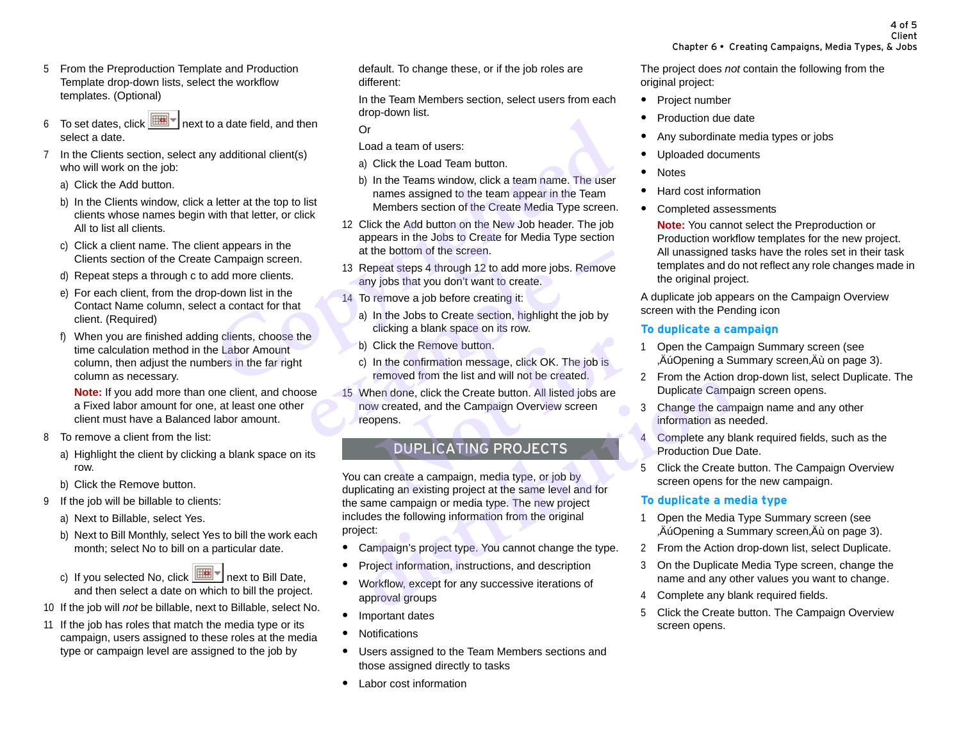- 5 From the Preproduction Template and Production Template drop-down lists, select the workflow templates. (Optional)
- 6 To set dates, click  $\boxed{\text{min}$  next to a date field, and then select a date.
- <span id="page-3-1"></span><span id="page-3-0"></span>7 In the Clients section, select any additional client(s) who will work on the job:
	- a) Click the Add button.
	- b) In the Clients window, click a letter at the top to list clients whose names begin with that letter, or click All to list all clients.
	- c) Click a client name. The client appears in the Clients section of the Create Campaign screen.
	- d) Repeat steps [a](#page-3-0) through [c](#page-3-1) to add more clients.
	- e) For each client, from the drop-down list in the Contact Name column, select a contact for that client. (Required)
	- f) When you are finished adding clients, choose the time calculation method in the Labor Amount column, then adjust the numbers in the far right column as necessary.

**Note:** If you add more than one client, and choose a Fixed labor amount for one, at least one other client must have a Balanced labor amount.

- 8 To remove a client from the list:
	- a) Highlight the client by clicking a blank space on its row.
	- b) Click the Remove button.
- 9 If the job will be billable to clients:
	- a) Next to Billable, select Yes.
	- b) Next to Bill Monthly, select Yes to bill the work each month; select No to bill on a particular date.
	- c) If you selected No, click  $\boxed{\mathbb{H}\mathbb{H}\mathbb{T}}$  next to Bill Date, and then select a date on which to bill the project.
- 10 If the job will *not* be billable, next to Billable, select No.
- 11 If the job has roles that match the media type or its campaign, users assigned to these roles at the media type or campaign level are assigned to the job by

default. To change these, or if the job roles are different:

In the Team Members section, select users from each drop-down list.

Or

Load a team of users:

- a) Click the Load Team button.
- <span id="page-3-2"></span>b) In the Teams window, click a team name. The user names assigned to the team appear in the Team Members section of the Create Media Type screen.
- 12 Click the Add button on the New Job header. The job appears in the Jobs to Create for Media Type section at the bottom of the screen. **Computer Solutional client(s)**<br> **Cope the Copyrum of the Copyrum of the Copyrum of the Copyrum of the Copyrum of the Copyrum of the Copyrum of the Copyrum of the Copyrum of the Copyrum of the Copyrum of the Copyrum of the** 
	- 13 Repeat steps 4 through 12 to add more jobs. Remove any jobs that you don't want to create.
	- 14 To remove a job before creating it:
		- a) In the Jobs to Create section, highlight the job by clicking a blank space on its row.
		- b) Click the Remove button.
		- c) In the confirmation message, click OK. The job is removed from the list and will not be created.
	- 15 When done, click the Create button. All listed jobs are now created, and the Campaign Overview screen reopens. at the bottom of the screen.<br>
	13 Repeat steps 4 through 12 to add more jobs. Remove<br>
	any jobs that you don't want to create.<br>
	14 To remove a job before creating it:<br>
	a) In the Jobs to Create section, highlight the job by<br> Click the Remove button.<br>
	In the confirmation message, click OK. The job is<br>
	removed from the list and will not be created.<br>
	en done, click the Create button. All listed jobs are<br>
	v created, and the Campaign Overview scree

# DUPLICATING PROJECTS

You can create a campaign, media type, or job by duplicating an existing project at the same level and for the same campaign or media type. The new project includes the following information from the original project: removed from the list and will not be created. <sup>2</sup> From the Action<br>
When done, click the Create button. All listed jobs are<br>
now created, and the Campaign Overview screen<br>
reopens.<br> **DUPLICATING PROJECTS**<br>
2 Campaign are e

- **•** Campaign's project type. You cannot change the type.
- **•** Project information, instructions, and description
- **•** Workflow, except for any successive iterations of approval groups
- **•** Important dates
- **•** Notifications
- **•** Users assigned to the Team Members sections and those assigned directly to tasks
- **•** Labor cost information

The project does *not* contain the following from the original project:

- **•** Project number
- **•** Production due date
- **•** Any subordinate media types or jobs
- **•** Uploaded documents
- **•** Notes
- **•** Hard cost information
- **•** Completed assessments

**Note:** You cannot select the Preproduction or Production workflow templates for the new project. All unassigned tasks have the roles set in their task templates and do not reflect any role changes made in the original project.

A duplicate job appears on the Campaign Overview screen with the Pending icon

# **To duplicate a campaign**

- 1 Open the Campaign Summary screen (see "Au Opening a Summary screen, Au on page 3).
- 2 From the Action drop-down list, select Duplicate. The Duplicate Campaign screen opens.
- 3 Change the campaign name and any other information as needed.
- 4 Complete any blank required fields, such as the Production Due Date.
- 5 Click the Create button. The Campaign Overview screen opens for the new campaign.

# **To duplicate a media type**

- 1 Open the Media Type Summary screen (see "Au Opening a Summary screen, Au on page 3).
- 2 From the Action drop-down list, select Duplicate.
- 3 On the Duplicate Media Type screen, change the name and any other values you want to change.
- 4 Complete any blank required fields.
- 5 Click the Create button. The Campaign Overview screen opens.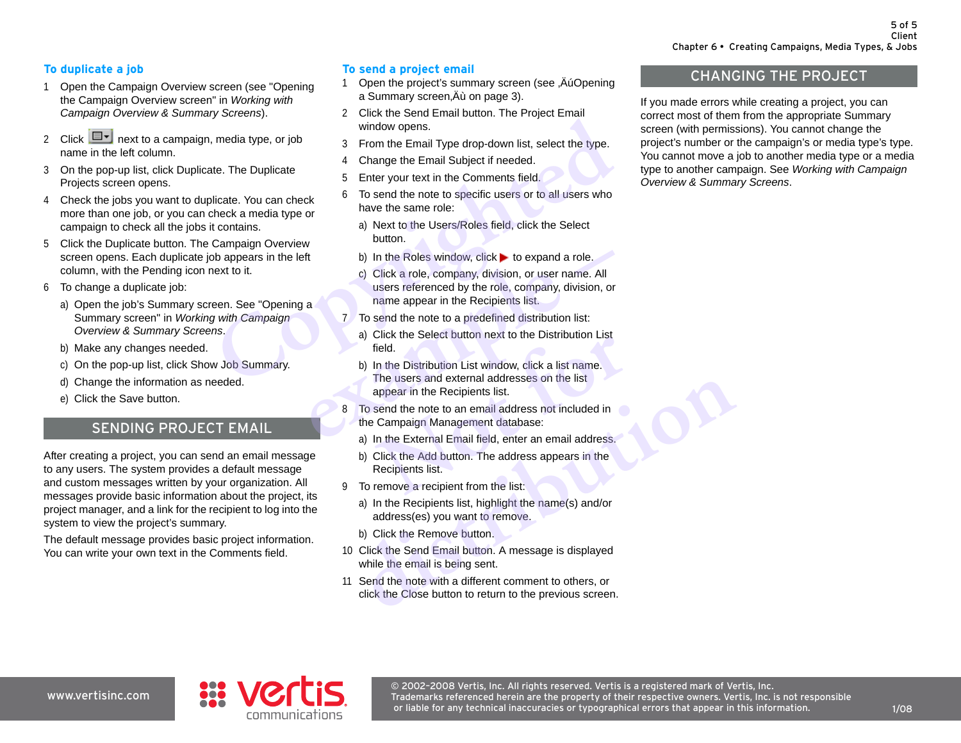## **To duplicate a job**

- 1 Open the Campaign Overview screen (see "Opening the Campaign Overview screen" in *Working with Campaign Overview & Summary Screens*).
- 2 Click  $\boxed{\Box}$  next to a campaign, media type, or job name in the left column.
- 3 On the pop-up list, click Duplicate. The Duplicate Projects screen opens.
- 4 Check the jobs you want to duplicate. You can check more than one job, or you can check a media type or campaign to check all the jobs it contains.
- 5 Click the Duplicate button. The Campaign Overview screen opens. Each duplicate job appears in the left column, with the Pending icon next to it.
- 6 To change a duplicate job:
	- a) Open the job's Summary screen. See "Opening a Summary screen" in *Working with Campaign Overview & Summary Screens*.
	- b) Make any changes needed.
	- c) On the pop-up list, click Show Job Summary.
	- d) Change the information as needed.
	- e) Click the Save button.

# SENDING PROJECT EMAIL

After creating a project, you can send an email message to any users. The system provides a default message and custom messages written by your organization. All messages provide basic information about the project, its project manager, and a link for the recipient to log into the system to view the project's summary.

The default message provides basic project information. You can write your own text in the Comments field.

# **To send a project email**

- 1 Open the project's summary screen (see ,Au Opening a Summary screen, Äù on page 3).
- 2 Click the Send Email button. The Project Email window opens.
- 3 From the Email Type drop-down list, select the type.
- 4 Change the Email Subject if needed.
- 5 Enter your text in the Comments field.
- 6 To send the note to specific users or to all users who have the same role:
	- a) Next to the Users/Roles field, click the Select button.
	- b) In the Roles window, click  $\blacktriangleright$  to expand a role.
- c) Click a role, company, division, or user name. All users referenced by the role, company, division, or name appear in the Recipients list. **Constrained**<br> **Consumer Solution** of the Communistyne, or job<br>
indow opens.<br>
Trom the Email Type drop-down list, select the type.<br> **Communisties** of the Email Subject if needed.<br> **Communisties** of the Comments field.<br> **Co example 18 Follow 19 Follow Scribtz Company, division, or user name. All users referenced by the role, company, division, or name appear in the Recipients list.<br>
<b>a example 18 Follow Scribtz Company** and the note to a
	- 7 To send the note to a predefined distribution list:
		- a) Click the Select button next to the Distribution List field.
		- b) In the Distribution List window, click a list name. The users and external addresses on the list appear in the Recipients list. Field.<br>
		In the Distribution List window, click a list name.<br>
		The users and external addresses on the list<br>
		appear in the Recipients list.<br>
		send the note to an email address not included in<br>
		Campaign Management database:<br>
		I
	- 8 To send the note to an email address not included in the Campaign Management database:
		- a) In the External Email field, enter an email address.
		- b) Click the Add button. The address appears in the Recipients list.
	- 9 To remove a recipient from the list:
		- a) In the Recipients list, highlight the name(s) and/or address(es) you want to remove.
		- b) Click the Remove button.
	- 10 Click the Send Email button. A message is displayed while the email is being sent.
	- 11 Send the note with a different comment to others, or click the Close button to return to the previous screen. The users and external addresses on the list<br>appear in the Recipients list.<br>To send the note to an email address not included in<br>the Campaign Management database:<br>a) In the External Email field, enter an email address.<br>b)

# CHANGING THE PROJECT

If you made errors while creating a project, you can correct most of them from the appropriate Summary screen (with permissions). You cannot change the project's number or the campaign's or media type's type. You cannot move a job to another media type or a media type to another campaign. See *Working with Campaign Overview & Summary Screens*.

www.vertisinc.com



© 2002–2008 Vertis, Inc. All rights reserved. Vertis is a registered mark of Vertis, Inc. Trademarks referenced herein are the property of their respective owners. Vertis, Inc. is not responsible or liable for any technical inaccuracies or typographical errors that appear in this information.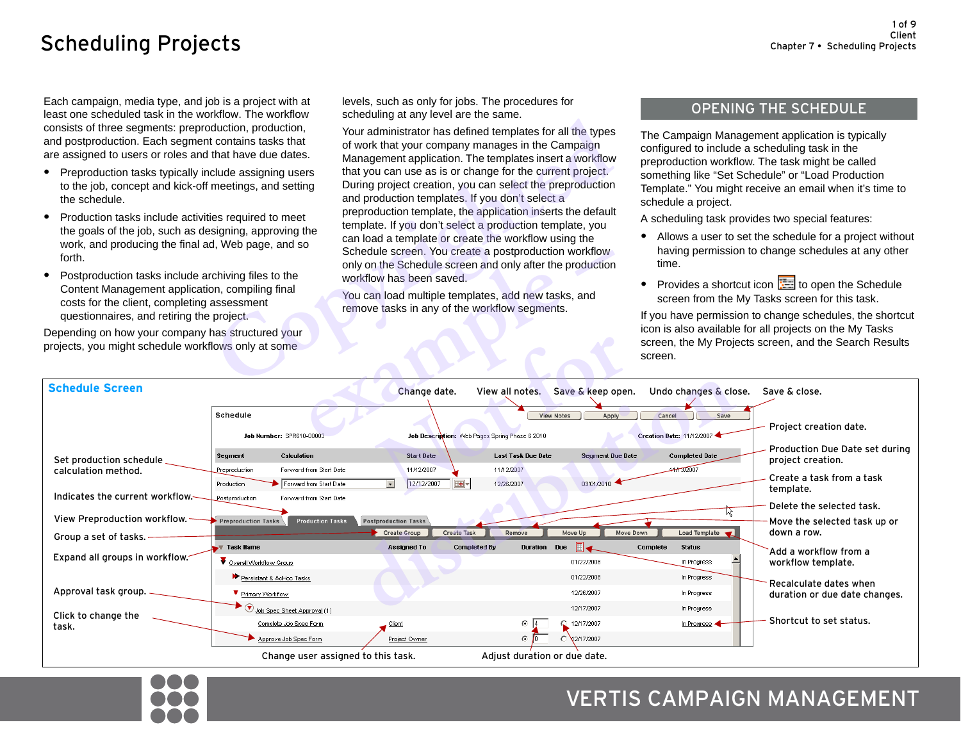# <span id="page-5-0"></span>Scheduling Projects

Each campaign, media type, and job is a project with at least one scheduled task in the workflow. The workflow consists of three segments: preproduction, production, and postproduction. Each segment contains tasks that are assigned to users or roles and that have due dates.

- **•** Preproduction tasks typically include assigning users to the job, concept and kick-off meetings, and setting the schedule.
- **•** Production tasks include activities required to meet the goals of the job, such as designing, approving the work, and producing the final ad, Web page, and so forth.
- **•** Postproduction tasks include archiving files to the Content Management application, compiling final costs for the client, completing assessment questionnaires, and retiring the project.

levels, such as only for jobs. The procedures for scheduling at any level are the same.

Your administrator has defined templates for all the types of work that your company manages in the Campaign Management application. The templates insert a workflow that you can use as is or change for the current project. During project creation, you can select the preproduction and production templates. If you don't select a preproduction template, the application inserts the default template. If you don't select a production template, you can load a template or create the workflow using the Schedule screen. You create a postproduction workflow only on the Schedule screen and only after the production workflow has been saved. Musion, production, solution of the scheening at any level ate ute same.<br>
Contains tasks that<br>
for work that you can use as is or changes in the Campaign<br>
that have due dates.<br>
Management application. The templates for all

# OPENING THE SCHEDULE

The Campaign Management application is typically configured to include a scheduling task in the preproduction workflow. The task might be called something like "Set Schedule" or "Load Production Template." You might receive an email when it's time to schedule a project.

A scheduling task provides two special features:

- **•** Allows a user to set the schedule for a project without having permission to change schedules at any other time.
- Provides a shortcut icon **the Schedule** screen from the My Tasks screen for this task.

| forth.<br>Postproduction tasks include archiving files to the<br>٠<br>Content Management application, compiling final<br>costs for the client, completing assessment<br>questionnaires, and retiring the project.<br>Depending on how your company has structured your<br>projects, you might schedule workflows only at some |                                                                                                                                                                                                            | Schedule screen. You create a postproduction workflow<br>only on the Schedule screen and only after the production<br>workflow has been saved.<br>You can load multiple templates, add new tasks, and<br>remove tasks in any of the workflow segments. |                                                                                                                           | time.<br>screen.                                                       | riaving permission to change schedules at any other<br>Provides a shortcut icon <b>Fig.</b> to open the Schedule<br>screen from the My Tasks screen for this task.<br>If you have permission to change schedules, the shortcut<br>icon is also available for all projects on the My Tasks<br>screen, the My Projects screen, and the Search Results |
|-------------------------------------------------------------------------------------------------------------------------------------------------------------------------------------------------------------------------------------------------------------------------------------------------------------------------------|------------------------------------------------------------------------------------------------------------------------------------------------------------------------------------------------------------|--------------------------------------------------------------------------------------------------------------------------------------------------------------------------------------------------------------------------------------------------------|---------------------------------------------------------------------------------------------------------------------------|------------------------------------------------------------------------|-----------------------------------------------------------------------------------------------------------------------------------------------------------------------------------------------------------------------------------------------------------------------------------------------------------------------------------------------------|
| <b>Schedule Screen</b>                                                                                                                                                                                                                                                                                                        | Schedule<br>Job Number: SPR610-00003                                                                                                                                                                       | Change date.<br>Job Description: Web Pages Spring Phase 6 2010                                                                                                                                                                                         | View all notes. Save & keep open.<br><b>View Notes</b><br>Apply                                                           | Undo changes & close.<br>Cancel<br>Save<br>Creation Date: 11/12/2007 4 | Save & close.<br>Project creation date.                                                                                                                                                                                                                                                                                                             |
| Set production schedule<br>calculation method.<br>Indicates the current workflow.<br>View Preproduction workflow.<br>Group a set of tasks.                                                                                                                                                                                    | Calculation<br>Segment<br>Forward from Start Date<br>Preproduction<br>Forward from Start Date<br>Production<br>Postproduction<br>Forward from Start Date<br><b>Production Tasks</b><br>Preproduction Tasks | <b>Start Date</b><br>11/12/2007<br>12/12/2007<br>$\mathbb{R}$<br>Postproduction Tasks<br><b>Create Task</b><br>Create Group                                                                                                                            | Last Task Due Date<br><b>Segment Due Date</b><br>11/12/2007<br>03/01/2010<br>12/26/2007<br>Move Down<br>Remove<br>Move Up | <b>Completed Date</b><br>41312007<br>YY.<br>Load Template              | Production Due Date set during<br>project creation.<br>Create a task from a task<br>template.<br>Delete the selected task.<br>Move the selected task up or<br>down a row.                                                                                                                                                                           |
| Expand all groups in workflow.                                                                                                                                                                                                                                                                                                | <b>Task Name</b><br>V Overall Workflow Group<br>Persistant & AdHoc Tasks                                                                                                                                   | <b>Assigned To</b><br><b>Completed By</b>                                                                                                                                                                                                              | Due<br>Duration<br>01/22/2008<br>01/22/2008                                                                               | Complete<br><b>Status</b><br>In Progress<br>In Progress                | Add a workflow from a<br>workflow template.                                                                                                                                                                                                                                                                                                         |
| Approval task group. _<br>Click to change the<br>task.                                                                                                                                                                                                                                                                        | Primary Workflow<br>$\bullet$ $\bigcirc$ Job Spec Sheet Approval (1)<br>Complete Job Spec Form<br>Approve Job Spec Form                                                                                    | Client<br>Project Owner                                                                                                                                                                                                                                | 12/26/2007<br>12/17/2007<br>$\odot$ $\Box$<br>12/17/2007<br>⊙ lo<br>C 32/17/2007                                          | In Progress<br>In Progress<br>In Progress                              | Recalculate dates when<br>duration or due date changes.<br>Shortcut to set status.                                                                                                                                                                                                                                                                  |
|                                                                                                                                                                                                                                                                                                                               | Change user assigned to this task.                                                                                                                                                                         |                                                                                                                                                                                                                                                        | Adjust duration or due date.                                                                                              |                                                                        |                                                                                                                                                                                                                                                                                                                                                     |



# VERTIS CAMPAIGN MANAGEMENT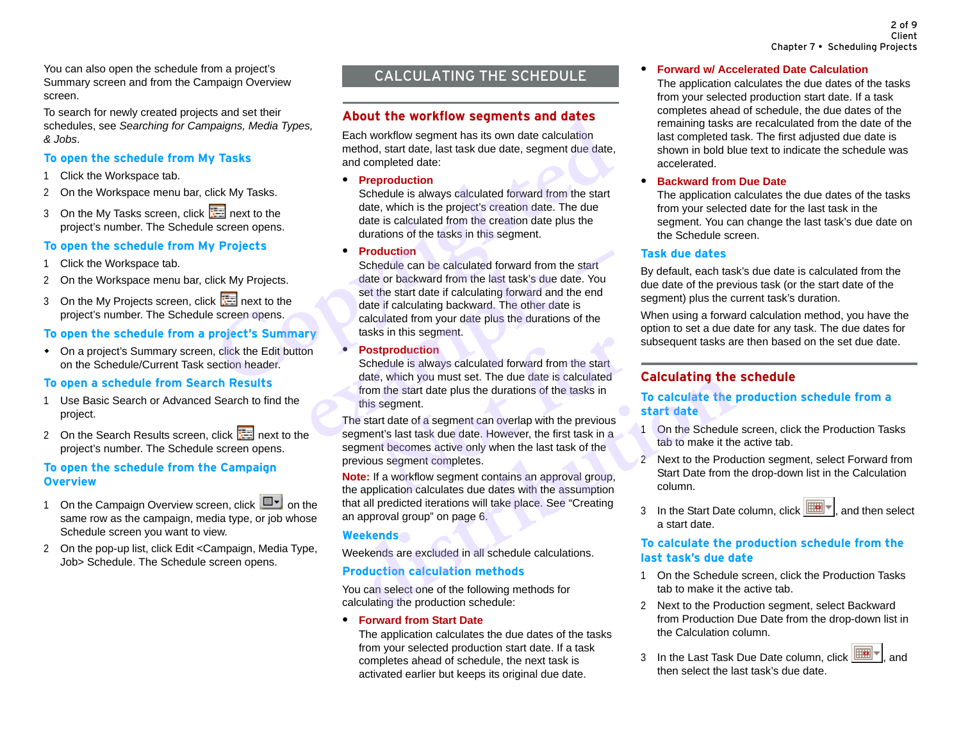You can also open the schedule from a project's Summary screen and from the Campaign Overview screen.

To search for newly created projects and set their schedules, see *Searching for Campaigns, Media Types, & Jobs*.

#### **To open the schedule from My Tasks**

- 1 Click the Workspace tab.
- 2 On the Workspace menu bar, click My Tasks.
- 3 On the My Tasks screen, click **For a** next to the project's number. The Schedule screen opens.

# **To open the schedule from My Projects**

- 1 Click the Workspace tab.
- 2 On the Workspace menu bar, click My Projects.
- 3 On the My Projects screen, click **Read to the Street form** project's number. The Schedule screen opens.

# **To open the schedule from a project's Summary**

 On a project's Summary screen, click the Edit button on the Schedule/Current Task section header.

## **To open a schedule from Search Results**

- 1 Use Basic Search or Advanced Search to find the project.
- 2 On the Search Results screen, click  $\frac{1}{\sqrt{2}}$  next to the project's number. The Schedule screen opens.

## **To open the schedule from the Campaign Overview**

- 1 On the Campaign Overview screen, click  $\Box$  on the same row as the campaign, media type, or job whose Schedule screen you want to view.
- 2 On the pop-up list, click Edit <Campaign, Media Type, Job> Schedule. The Schedule screen opens.

# CALCULATING THE SCHEDULE

# **About the workflow segments and dates**

Each workflow segment has its own date calculation method, start date, last task due date, segment due date, and completed date:

**• Preproduction**

Schedule is always calculated forward from the start date, which is the project's creation date. The due date is calculated from the creation date plus the durations of the tasks in this segment.

**• Production**

Schedule can be calculated forward from the start date or backward from the last task's due date. You set the start date if calculating forward and the end date if calculating backward. The other date is calculated from your date plus the durations of the tasks in this segment. **Coult the Workfilow Segments and dates**<br>
Carly and gradients, Media Types,<br>
Tasks<br>
and completed date;<br>
and completed date;<br>
and completed date;<br> **Conception**<br>
Conceptible is always calculated forward from the start<br>
to t **example 19 Froduction**<br>
Schedule can be calculated forward from the start<br>
date or backward from the last task's due date. You<br>
set the start date if calculating forward and the end<br>
date if calculating backward. The othe

**• Postproduction**

Schedule is always calculated forward from the start date, which you must set. The due date is calculated from the start date plus the durations of the tasks in this segment.

The start date of a segment can overlap with the previous segment's last task due date. However, the first task in a segment becomes active only when the last task of the previous segment completes. **In this example is always calculated forward from the start**<br> **e**, which you must set. The due date is calculated<br>
in the start date plus the durations of the tasks in<br>
is egment.<br>
ant date of a segment can overlap with t date, which you must set. The due date is calculated<br>
the segment date plus the durations of the tasks in<br>
this segment can overlap with the previous<br>
gment's last task due date. However, the first task in<br>
gment becomes a

**Note:** If a workflow segment contains an approval group, the application calculates due dates with the assumption that all predicted iterations will take place. See "Creating an approval group" on page 6.

## **Weekends**

Weekends are excluded in all schedule calculations.

# **Production calculation methods**

You can select one of the following methods for calculating the production schedule:

#### **• Forward from Start Date**

The application calculates the due dates of the tasks from your selected production start date. If a task completes ahead of schedule, the next task is activated earlier but keeps its original due date.

#### **• Forward w/ Accelerated Date Calculation**

The application calculates the due dates of the tasks from your selected production start date. If a task completes ahead of schedule, the due dates of the remaining tasks are recalculated from the date of the last completed task. The first adjusted due date is shown in bold blue text to indicate the schedule was accelerated.

#### **• Backward from Due Date**

The application calculates the due dates of the tasks from your selected date for the last task in the segment. You can change the last task's due date on the Schedule screen.

## **Task due dates**

By default, each task's due date is calculated from the due date of the previous task (or the start date of the segment) plus the current task's duration.

When using a forward calculation method, you have the option to set a due date for any task. The due dates for subsequent tasks are then based on the set due date.

# **Calculating the schedule**

## **To calculate the production schedule from a start date**

- 1 On the Schedule screen, click the Production Tasks tab to make it the active tab.
- 2 Next to the Production segment, select Forward from Start Date from the drop-down list in the Calculation column.
- 3 In the Start Date column, click  $\boxed{\mathbb{H}\mathbb{H}}$ , and then select a start date.

#### **To calculate the production schedule from the last task's due date**

- 1 On the Schedule screen, click the Production Tasks tab to make it the active tab.
- 2 Next to the Production segment, select Backward from Production Due Date from the drop-down list in the Calculation column.
- 3 In the Last Task Due Date column, click  $\boxed{\mathbb{H}\mathbb{H}\mathbb{R}}$ , and then select the last task's due date.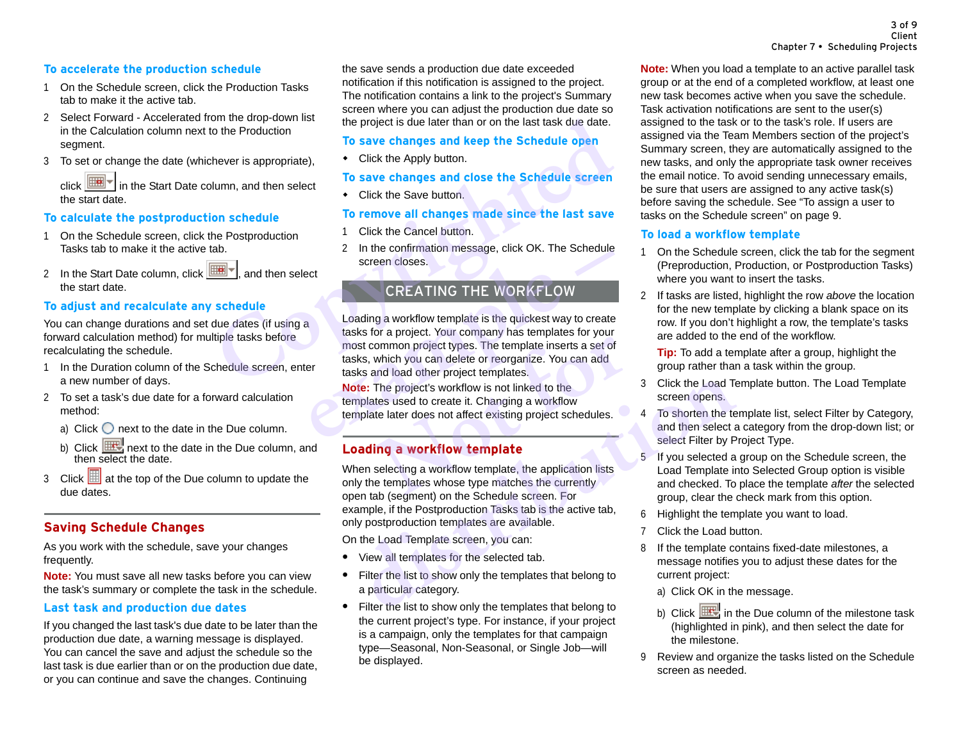## **To accelerate the production schedule**

- 1 On the Schedule screen, click the Production Tasks tab to make it the active tab.
- 2 Select Forward Accelerated from the drop-down list in the Calculation column next to the Production segment.
- 3 To set or change the date (whichever is appropriate),

click  $\boxed{m}$  in the Start Date column, and then select the start date.

#### **To calculate the postproduction schedule**

- 1 On the Schedule screen, click the Postproduction Tasks tab to make it the active tab.
- 2 In the Start Date column, click  $\boxed{m}$ , and then select the start date.

#### **To adjust and recalculate any schedule**

You can change durations and set due dates (if using a forward calculation method) for multiple tasks before recalculating the schedule.

- 1 In the Duration column of the Schedule screen, enter a new number of days.
- 2 To set a task's due date for a forward calculation method:
	- a) Click  $\bigcirc$  next to the date in the Due column.
	- b) Click  $\frac{d}{dx}$  next to the date in the Due column, and then select the date.
- 3 Click  $\boxed{1}$  at the top of the Due column to update the due dates.

# **Saving Schedule Changes**

As you work with the schedule, save your changes frequently.

**Note:** You must save all new tasks before you can view the task's summary or complete the task in the schedule.

#### **Last task and production due dates**

If you changed the last task's due date to be later than the production due date, a warning message is displayed. You can cancel the save and adjust the schedule so the last task is due earlier than or on the production due date, or you can continue and save the changes. Continuing

the save sends a production due date exceeded notification if this notification is assigned to the project. The notification contains a link to the project's Summary screen where you can adjust the production due date so the project is due later than or on the last task due date.

## **To save changes and keep the Schedule open**

• Click the Apply button.

#### **To save changes and close the Schedule screen**

• Click the Save button.

#### **To remove all changes made since the last save**

- 1 Click the Cancel button.
- 2 In the confirmation message, click OK. The Schedule screen closes.

# CREATING THE WORKFLOW

Loading a workflow template is the quickest way to create tasks for a project. Your company has templates for your most common project types. The template inserts a set of tasks, which you can delete or reorganize. You can add tasks and load other project templates. For same diversion on the last than or on the last task due date.<br>
To save changes and keep the Schedule open<br>
Humn, and then select<br>
To save changes and close the Schedule open<br>
Uumn, and then select<br>
To remove all change Example the commissage, the OK. The Schedule screen closes.<br> **EXAMPLE WORKFLOW**<br>
Loading a workflow template is the quickest way to create<br>
tasks for a project. Your company has templates for your<br>
most common project type ommon project types. The template inserts a set of<br>ommon project types. The template inserts a set of<br>which you can delete or reorganize. You can add<br>and load other project templates.<br>The project's workflow is not linked t

**Note:** The project's workflow is not linked to the templates used to create it. Changing a workflow template later does not affect existing project schedules.

# **Loading a workflow template**

When selecting a workflow template, the application lists only the templates whose type matches the currently open tab (segment) on the Schedule screen. For example, if the Postproduction Tasks tab is the active tab, only postproduction templates are available. **Solution**<br> **Distribution** Check The project's workflow is not linked to the<br> **distribution** create it. Changing a workflow<br> **Dading a workflow template**<br> **Dading a workflow template**<br> **Dading a workflow template**<br> **Dading** 

On the Load Template screen, you can:

- **•** View all templates for the selected tab.
- **•** Filter the list to show only the templates that belong to a particular category.
- **•** Filter the list to show only the templates that belong to the current project's type. For instance, if your project is a campaign, only the templates for that campaign type—Seasonal, Non-Seasonal, or Single Job—will be displayed.

**Note:** When you load a template to an active parallel task group or at the end of a completed workflow, at least one new task becomes active when you save the schedule. Task activation notifications are sent to the user(s) assigned to the task or to the task's role. If users are assigned via the Team Members section of the project's Summary screen, they are automatically assigned to the new tasks, and only the appropriate task owner receives the email notice. To avoid sending unnecessary emails, be sure that users are assigned to any active task(s) before saving the schedule. See ["To assign a user to](#page-13-0)  [tasks on the Schedule screen" on page 9](#page-13-0).

#### **To load a workflow template**

- 1 On the Schedule screen, click the tab for the segment (Preproduction, Production, or Postproduction Tasks) where you want to insert the tasks.
- 2 If tasks are listed, highlight the row *above* the location for the new template by clicking a blank space on its row. If you don't highlight a row, the template's tasks are added to the end of the workflow.

**Tip:** To add a template after a group, highlight the group rather than a task within the group.

- 3 Click the Load Template button. The Load Template screen opens.
- 4 To shorten the template list, select Filter by Category, and then select a category from the drop-down list; or select Filter by Project Type.
- 5 If you selected a group on the Schedule screen, the Load Template into Selected Group option is visible and checked. To place the template *after* the selected group, clear the check mark from this option.
- 6 Highlight the template you want to load.
- 7 Click the Load button.
- 8 If the template contains fixed-date milestones, a message notifies you to adjust these dates for the current project:
	- a) Click OK in the message.
	- b) Click  $\mathbb{H}$  in the Due column of the milestone task (highlighted in pink), and then select the date for the milestone.
- 9 Review and organize the tasks listed on the Schedule screen as needed.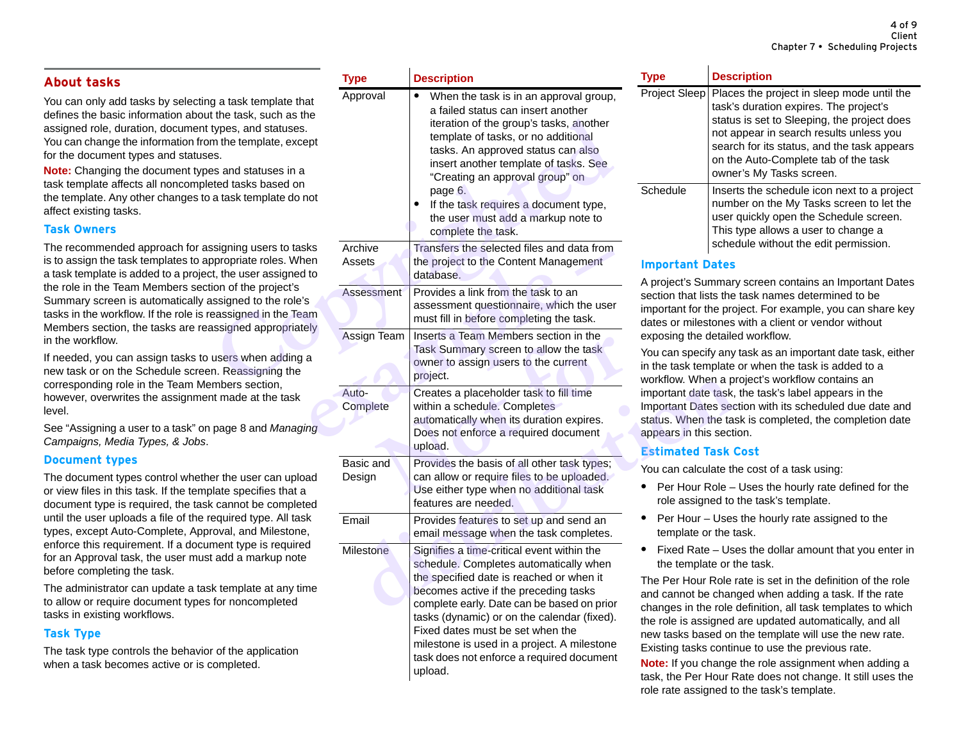# **About tasks**

You can only add tasks by selecting a task template that defines the basic information about the task, such as the assigned role, duration, document types, and statuses. You can change the information from the template, except for the document types and statuses.

**Note:** Changing the document types and statuses in a task template affects all noncompleted tasks based on the template. Any other changes to a task template do not affect existing tasks.

#### **Task Owners**

The recommended approach for assigning users to tasks is to assign the task templates to appropriate roles. When a task template is added to a project, the user assigned to the role in the Team Members section of the project's Summary screen is automatically assigned to the role's tasks in the workflow. If the role is reassigned in the Team Members section, the tasks are reassigned appropriately in the workflow.

If needed, you can assign tasks to users when adding a new task or on the Schedule screen. Reassigning the corresponding role in the Team Members section, however, overwrites the assignment made at the task level.

See ["Assigning a user to a task" on page 8](#page-12-0) and *Managing Campaigns, Media Types, & Jobs*.

#### **Document types**

The document types control whether the user can upload or view files in this task. If the template specifies that a document type is required, the task cannot be completed until the user uploads a file of the required type. All task types, except Auto-Complete, Approval, and Milestone, enforce this requirement. If a document type is required for an Approval task, the user must add a markup note before completing the task.

The administrator can update a task template at any time to allow or require document types for noncompleted tasks in existing workflows.

## **Task Type**

The task type controls the behavior of the application when a task becomes active or is completed.

|                                                                                                                                                                                                                                              | <b>Type</b>         | <b>Description</b>                                                                                                                                                                                                                                                                                                                                                                               | <b>Type</b>                                                                                                                                                                                                                                                                                                                                                       | <b>Desc</b>                                                                                      |  |
|----------------------------------------------------------------------------------------------------------------------------------------------------------------------------------------------------------------------------------------------|---------------------|--------------------------------------------------------------------------------------------------------------------------------------------------------------------------------------------------------------------------------------------------------------------------------------------------------------------------------------------------------------------------------------------------|-------------------------------------------------------------------------------------------------------------------------------------------------------------------------------------------------------------------------------------------------------------------------------------------------------------------------------------------------------------------|--------------------------------------------------------------------------------------------------|--|
| g a task template that<br>: the task, such as the<br>types, and statuses.<br>m the template, except<br>۱S.<br>es and statuses in a<br>ted tasks based on<br>a task template do not                                                           | Approval            | When the task is in an approval group,<br>a failed status can insert another<br>iteration of the group's tasks, another<br>template of tasks, or no additional<br>tasks. An approved status can also<br>insert another template of tasks. See<br>"Creating an approval group" on<br>page 6.<br>If the task requires a document type,<br>the user must add a markup note to<br>complete the task. | <b>Project Sleep</b><br>Schedule                                                                                                                                                                                                                                                                                                                                  | Place<br>task's<br>status<br>not a<br>searc<br>on th<br>owne<br>Insert<br>numb<br>user<br>This t |  |
| signing users to tasks<br>propriate roles. When<br>t, the user assigned to<br>ion of the project's<br>ssigned to the role's<br>eassigned in the Team<br>ssigned appropriately<br>users when adding a<br>n. Reassigning the<br>mbers section, | Archive<br>Assets   | Transfers the selected files and data from<br>the project to the Content Management<br>database.                                                                                                                                                                                                                                                                                                 | scheo<br><b>Important Dates</b><br>A project's Summary<br>section that lists the<br>important for the pro<br>dates or milestones<br>exposing the detaile<br>You can specify any<br>in the task template<br>workflow. When a pr<br>important date task,<br><b>Important Dates sec</b><br>status. When the tas<br>appears in this secti-<br><b>Estimated Task C</b> |                                                                                                  |  |
|                                                                                                                                                                                                                                              | <b>Assessment</b>   | Provides a link from the task to an<br>assessment questionnaire, which the user<br>must fill in before completing the task.                                                                                                                                                                                                                                                                      |                                                                                                                                                                                                                                                                                                                                                                   |                                                                                                  |  |
|                                                                                                                                                                                                                                              | <b>Assign Team</b>  | Inserts a Team Members section in the<br>Task Summary screen to allow the task<br>owner to assign users to the current<br>project.                                                                                                                                                                                                                                                               |                                                                                                                                                                                                                                                                                                                                                                   |                                                                                                  |  |
| nt made at the task<br>page 8 and Managing                                                                                                                                                                                                   | Auto-<br>Complete   | Creates a placeholder task to fill time<br>within a schedule. Completes<br>automatically when its duration expires.<br>Does not enforce a required document<br>upload.                                                                                                                                                                                                                           |                                                                                                                                                                                                                                                                                                                                                                   |                                                                                                  |  |
| er the user can upload<br>late specifies that a<br>cannot be completed<br>equired type. All task<br>oval, and Milestone,                                                                                                                     | Basic and<br>Design | Provides the basis of all other task types;<br>can allow or require files to be uploaded.<br>Use either type when no additional task<br>features are needed.                                                                                                                                                                                                                                     | You can calculate th<br>Per Hour Role -<br>role assigned to                                                                                                                                                                                                                                                                                                       |                                                                                                  |  |
|                                                                                                                                                                                                                                              | Email               | Provides features to set up and send an<br>email message when the task completes.                                                                                                                                                                                                                                                                                                                | Per Hour - Uses<br>template or the ta                                                                                                                                                                                                                                                                                                                             |                                                                                                  |  |
| nent type is required<br>add a markup note<br>k template at any time<br>for noncompleted                                                                                                                                                     | <b>Milestone</b>    | Signifies a time-critical event within the<br>schedule. Completes automatically when<br>the specified date is reached or when it<br>becomes active if the preceding tasks<br>complete early. Date can be based on prior                                                                                                                                                                          | Fixed Rate – Use<br>the template or the<br>The Per Hour Role r<br>and cannot be chan<br>changes in the role                                                                                                                                                                                                                                                       |                                                                                                  |  |
| of the application<br>ompleted.                                                                                                                                                                                                              |                     | tasks (dynamic) or on the calendar (fixed).<br>Fixed dates must be set when the<br>milestone is used in a project. A milestone<br>task does not enforce a required document<br>upload.                                                                                                                                                                                                           | the role is assigned<br>new tasks based on<br>Existing tasks contin<br>Note: If you change<br>took the Der Hour D                                                                                                                                                                                                                                                 |                                                                                                  |  |

| Tvpe                 | <b>Description</b>                                                                                                                                                                                                                                                                                |
|----------------------|---------------------------------------------------------------------------------------------------------------------------------------------------------------------------------------------------------------------------------------------------------------------------------------------------|
| <b>Project Sleep</b> | Places the project in sleep mode until the<br>task's duration expires. The project's<br>status is set to Sleeping, the project does<br>not appear in search results unless you<br>search for its status, and the task appears<br>on the Auto-Complete tab of the task<br>owner's My Tasks screen. |
| Schedule             | Inserts the schedule icon next to a project<br>number on the My Tasks screen to let the<br>user quickly open the Schedule screen.<br>This type allows a user to change a<br>schedule without the edit permission.                                                                                 |

#### **Important Dates**

A project's Summary screen contains an Important Dates section that lists the task names determined to be important for the project. For example, you can share key dates or milestones with a client or vendor without exposing the detailed workflow.

You can specify any task as an important date task, either in the task template or when the task is added to a workflow. When a project's workflow contains an important date task, the task's label appears in the Important Dates section with its scheduled due date and status. When the task is completed, the completion date appears in this section.

## **Estimated Task Cost**

You can calculate the cost of a task using:

- **•** Per Hour Role Uses the hourly rate defined for the role assigned to the task's template.
- **•** Per Hour Uses the hourly rate assigned to the template or the task.
- **•** Fixed Rate Uses the dollar amount that you enter in the template or the task.

The Per Hour Role rate is set in the definition of the role and cannot be changed when adding a task. If the rate changes in the role definition, all task templates to which the role is assigned are updated automatically, and all new tasks based on the template will use the new rate. Existing tasks continue to use the previous rate.

**Note:** If you change the role assignment when adding a task, the Per Hour Rate does not change. It still uses the role rate assigned to the task's template.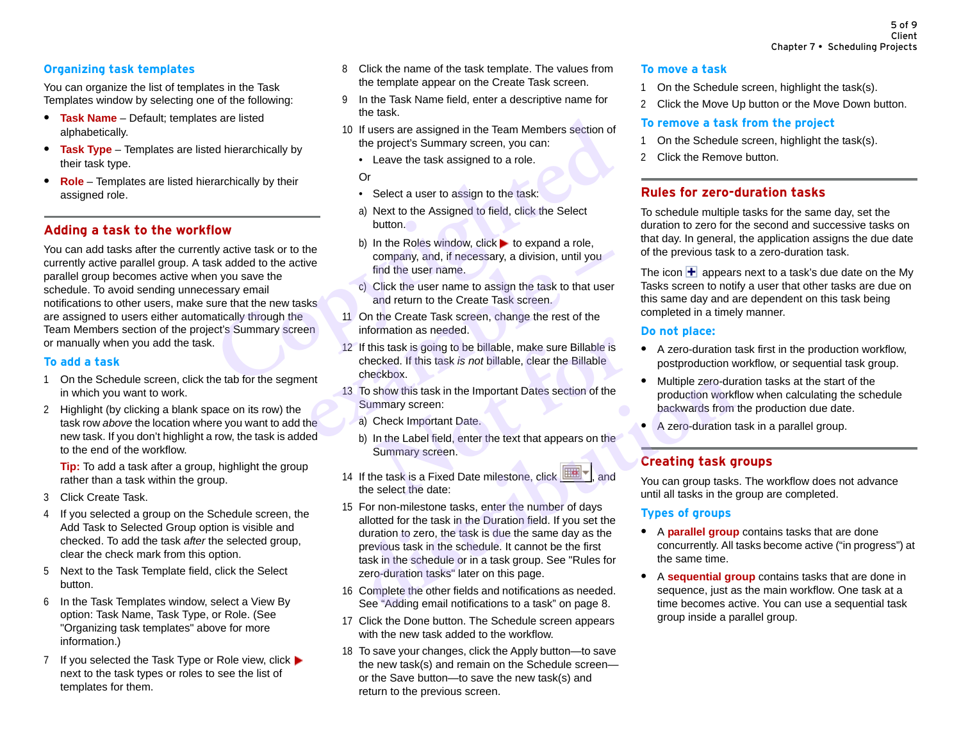## <span id="page-9-0"></span>**Organizing task templates**

You can organize the list of templates in the Task Templates window by selecting one of the following:

- **• Task Name** Default; templates are listed alphabetically.
- **• Task Type** Templates are listed hierarchically by their task type.
- **• Role** Templates are listed hierarchically by their assigned role.

# <span id="page-9-2"></span>**Adding a task to the workflow**

You can add tasks after the currently active task or to the currently active parallel group. A task added to the active parallel group becomes active when you save the schedule. To avoid sending unnecessary email notifications to other users, make sure that the new tasks are assigned to users either automatically through the Team Members section of the project's Summary screen or manually when you add the task. Solution that the state of the state of the segment<br>
Solution of the project's Summary screen, you can:<br> **Contained the state in the state is assigned to a role.**<br> **Copyrighted** a user to assign to the task:<br>
a) Next to th

#### **To add a task**

- 1 On the Schedule screen, click the tab for the segment in which you want to work.
- 2 Highlight (by clicking a blank space on its row) the task row *above* the location where you want to add the new task. If you don't highlight a row, the task is added to the end of the workflow.

**Tip:** To add a task after a group, highlight the group rather than a task within the group.

- 3 Click Create Task.
- 4 If you selected a group on the Schedule screen, the Add Task to Selected Group option is visible and checked. To add the task *after* the selected group, clear the check mark from this option.
- 5 Next to the Task Template field, click the Select button.
- 6 In the Task Templates window, select a View By option: Task Name, Task Type, or Role. (See ["Organizing task templates"](#page-9-0) above for more information.)
- 7 If you selected the Task Type or Role view, click  $\blacktriangleright$ next to the task types or roles to see the list of templates for them.
- 8 Click the name of the task template. The values from the template appear on the Create Task screen.
- 9 In the Task Name field, enter a descriptive name for the task.
- 10 If users are assigned in the Team Members section of the project's Summary screen, you can:
	- Leave the task assigned to a role.

Or

- Select a user to assign to the task:
- a) Next to the Assigned to field, click the Select button.
- b) In the Roles window, click  $\blacktriangleright$  to expand a role. company, and, if necessary, a division, until you find the user name.
- c) Click the user name to assign the task to that user and return to the Create Task screen.
- 11 On the Create Task screen, change the rest of the information as needed.
- 12 If this task is going to be billable, make sure Billable is checked. If this task *is not* billable, clear the Billable checkbox. France Company, and, if necessary, a division, until you<br>
find the user name.<br>
c) Click the user name to assign the task to that user<br>
and return to the Create Task screen.<br>
11 On the Create Task screen, change the rest of his task is going to be billable, make sure Billable is<br>ecked. If this task *is not* billable, clear the Billable<br>eckbox.<br>show this task in the Important Dates section of the<br>mmary screen:<br>Check Important Date.<br>In the Labe
	- 13 To show this task in the Important Dates section of the Summary screen:
		- a) Check Important Date.
		- b) In the Label field, enter the text that appears on the Summary screen.



- 14 If the task is a Fixed Date milestone, click  $\boxed{11}$ , and the select the date:
- 15 For non-milestone tasks, enter the number of days allotted for the task in the Duration field. If you set the duration to zero, the task is due the same day as the previous task in the schedule. It cannot be the first task in the schedule or in a task group. See "Rules for zero-duration tasks" later on this page. To show this task in the Important Dates section of the<br>
a) Check Important Date.<br>
b) In the Label field, enter the text that appears on the<br>
Summary screen.<br> **differences** the select the date:<br> **differences** the select th
- 16 Complete the other fields and notifications as needed. See "Adding email notifications to a task" on page 8.
- 17 Click the Done button. The Schedule screen appears with the new task added to the workflow.
- 18 To save your changes, click the Apply button—to save the new task(s) and remain on the Schedule screen or the Save button—to save the new task(s) and return to the previous screen.

#### **To move a task**

- 1 On the Schedule screen, highlight the task(s).
- 2 Click the Move Up button or the Move Down button.

#### **To remove a task from the project**

- 1 On the Schedule screen, highlight the task(s).
- 2 Click the Remove button.

# <span id="page-9-1"></span>**Rules for zero-duration tasks**

To schedule multiple tasks for the same day, set the duration to zero for the second and successive tasks on that day. In general, the application assigns the due date of the previous task to a zero-duration task.

The icon  $\blacktriangleleft$  appears next to a task's due date on the My Tasks screen to notify a user that other tasks are due on this same day and are dependent on this task being completed in a timely manner.

#### **Do not place:**

- **•** A zero-duration task first in the production workflow, postproduction workflow, or sequential task group.
- **•** Multiple zero-duration tasks at the start of the production workflow when calculating the schedule backwards from the production due date.
- **•** A zero-duration task in a parallel group.

# **Creating task groups**

You can group tasks. The workflow does not advance until all tasks in the group are completed.

## **Types of groups**

- **•** A **parallel group** contains tasks that are done concurrently. All tasks become active ("in progress") at the same time.
- **•** A **sequential group** contains tasks that are done in sequence, just as the main workflow. One task at a time becomes active. You can use a sequential task group inside a parallel group.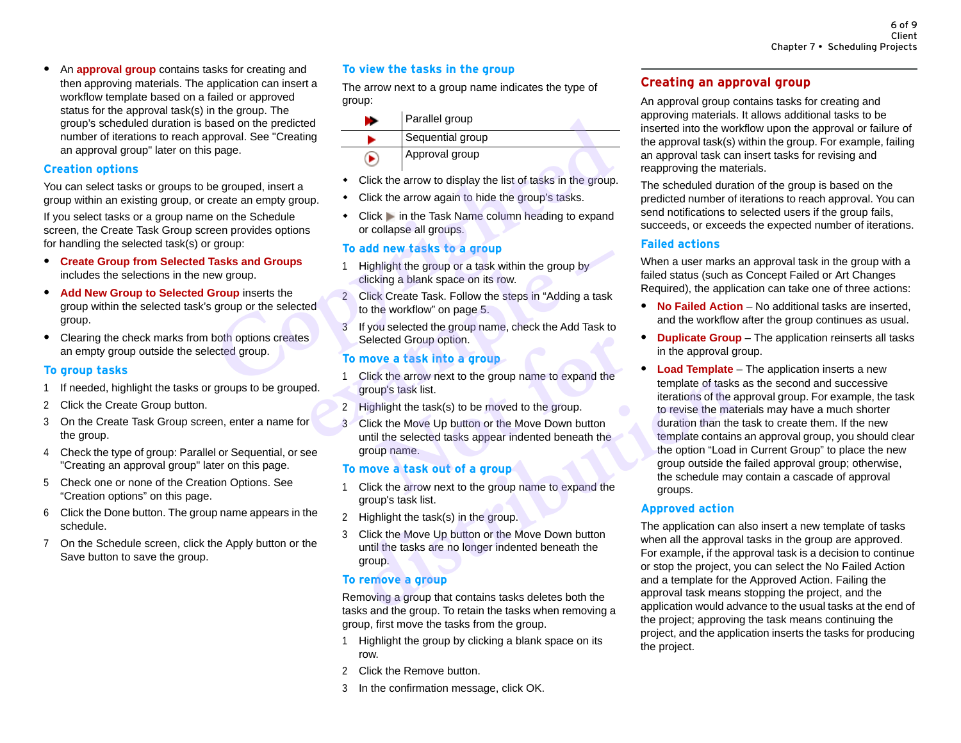**•** An **approval group** contains tasks for creating and then approving materials. The application can insert a workflow template based on a failed or approved status for the approval task(s) in the group. The group's scheduled duration is based on the predicted number of iterations to reach approval. See "Creating [an approval group"](#page-10-0) later on this page.

#### <span id="page-10-1"></span>**Creation options**

You can select tasks or groups to be grouped, insert a group within an existing group, or create an empty group.

If you select tasks or a group name on the Schedule screen, the Create Task Group screen provides options for handling the selected task(s) or group:

- **• Create Group from Selected Tasks and Groups** includes the selections in the new group.
- **• Add New Group to Selected Group** inserts the group within the selected task's group or the selected group.
- **•** Clearing the check marks from both options creates an empty group outside the selected group.

#### **To group tasks**

- 1 If needed, highlight the tasks or groups to be grouped.
- 2 Click the Create Group button.
- 3 On the Create Task Group screen, enter a name for the group.
- 4 Check the type of group: Parallel or Sequential, or see ["Creating an approval group"](#page-10-0) later on this page.
- 5 Check one or none of the Creation Options. [See](#page-10-1)  ["Creation options" on this page.](#page-10-1)
- 6 Click the Done button. The group name appears in the schedule.
- 7 On the Schedule screen, click the Apply button or the Save button to save the group.

#### **To view the tasks in the group**

The arrow next to a group name indicates the type of group:

| <b>Tule group.</b> The<br>ased on the predicted   |              | Parallel group                                                                          |
|---------------------------------------------------|--------------|-----------------------------------------------------------------------------------------|
| pproval. See "Creating                            |              | Sequential group                                                                        |
| page.                                             |              | Approval group                                                                          |
| e grouped, insert a                               |              | Click the arrow to display the list of tasks in the group                               |
| reate an empty group.                             |              | Click the arrow again to hide the group's tasks.                                        |
| on the Schedule<br>een provides options           |              | Click in the Task Name column heading to expand<br>or collapse all groups.              |
| group:                                            |              | To add new tasks to a group                                                             |
| <b>Tasks and Groups</b><br>ew group.              | 1            | Highlight the group or a task within the group by<br>clicking a blank space on its row. |
| <b>Group</b> inserts the<br>group or the selected | $\mathbf{2}$ | Click Create Task. Follow the steps in "Adding a task<br>to the workflow" on page 5.    |
| both options creates                              | 3            | If you selected the group name, check the Add Task to<br>Selected Group option.         |
| ected group.                                      |              | To move a task into a group                                                             |
|                                                   |              | Click the arrow next to the group name to expand the                                    |
|                                                   |              |                                                                                         |

- Click the arrow to display the list of tasks in the group.
- Click the arrow again to hide the group's tasks.
- Click in the Task Name column heading to expand or collapse all groups.

#### **To add new tasks to a group**

- 1 Highlight the group or a task within the group by clicking a blank space on its row.
- 2 Click Create Task. Follow the steps in "Adding a task to the workflow" on page 5.
- 3 If you selected the group name, check the Add Task to Selected Group option.

#### **To move a task into a group**

- 1 Click the arrow next to the group name to expand the group's task list. 1 Highlight the group or a task within the group by<br>
2 Click Create Task. Follow the steps in "Adding a task<br>
to the workflow" on page 5.<br>
3 If you selected the group name, check the Add Task to<br>
Selected Group option.<br> **T** 
	- 2 Highlight the task(s) to be moved to the group.
	- 3 Click the Move Up button or the Move Down button until the selected tasks appear indented beneath the group name. ected Group option.<br> **Note a task into a group**<br>
	Let the arrow next to the group name to expand the<br>
	up's task list.<br>
	In light the task(s) to be moved to the group.<br>
	Let the Move Up button or the Move Down button<br>
	if the s

#### **To move a task out of a group**

- 1 Click the arrow next to the group name to expand the group's task list.
- 2 Highlight the task(s) in the group.
- 3 Click the Move Up button or the Move Down button until the tasks are no longer indented beneath the group.

#### **To remove a group**

Removing a group that contains tasks deletes both the tasks and the group. To retain the tasks when removing a group, first move the tasks from the group.

- 1 Highlight the group by clicking a blank space on its row.
- 2 Click the Remove button.
- 3 In the confirmation message, click OK.

# <span id="page-10-0"></span>**Creating an approval group**

An approval group contains tasks for creating and approving materials. It allows additional tasks to be inserted into the workflow upon the approval or failure of the approval task(s) within the group. For example, failing an approval task can insert tasks for revising and reapproving the materials.

The scheduled duration of the group is based on the predicted number of iterations to reach approval. You can send notifications to selected users if the group fails, succeeds, or exceeds the expected number of iterations.

#### <span id="page-10-2"></span>**Failed actions**

When a user marks an approval task in the group with a failed status (such as Concept Failed or Art Changes Required), the application can take one of three actions:

- **• No Failed Action** No additional tasks are inserted, and the workflow after the group continues as usual.
- **• Duplicate Group** The application reinserts all tasks in the approval group.
- **• Load Template** The application inserts a new template of tasks as the second and successive iterations of the approval group. For example, the task to revise the materials may have a much shorter duration than the task to create them. If the new template contains an approval group, you should clear the option "Load in Current Group" to place the new group outside the failed approval group; otherwise, the schedule may contain a cascade of approval groups. Click the arrow next to the group hame to expand the<br>
distribution of the asks<br>
distribution of the actordation of the Move Up button or the Move Down button<br>
until the selected tasks appear indented beneath the<br>
group nam

## **Approved action**

The application can also insert a new template of tasks when all the approval tasks in the group are approved. For example, if the approval task is a decision to continue or stop the project, you can select the No Failed Action and a template for the Approved Action. Failing the approval task means stopping the project, and the application would advance to the usual tasks at the end of the project; approving the task means continuing the project, and the application inserts the tasks for producing the project.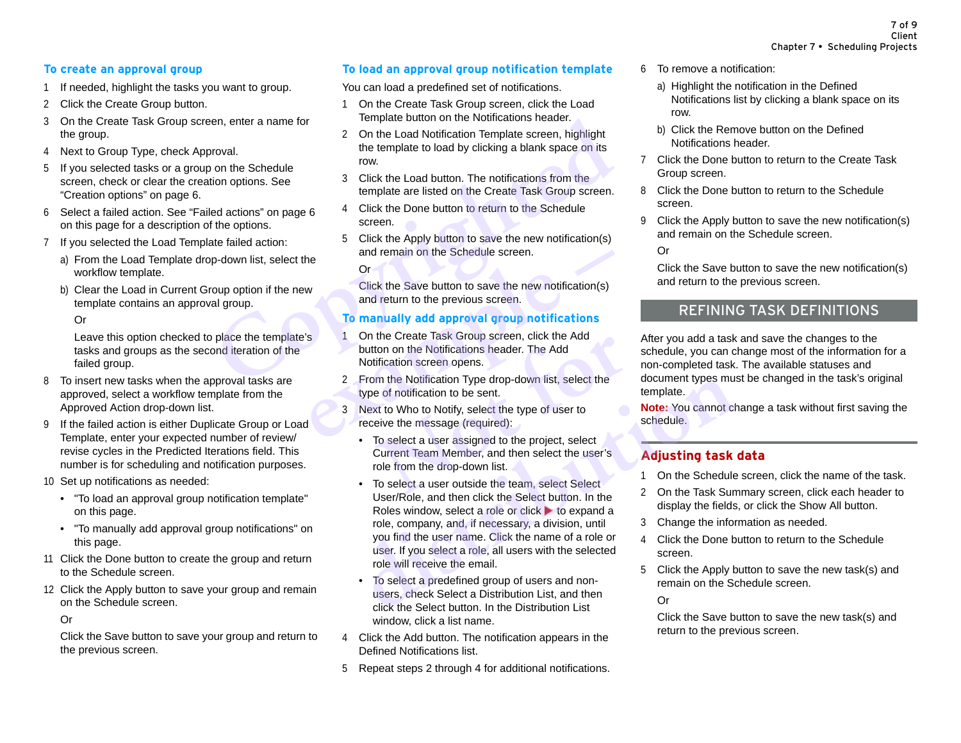## **To create an approval group**

- 1 If needed, highlight the tasks you want to group.
- 2 Click the Create Group button.
- 3 On the Create Task Group screen, enter a name for the group.
- 4 Next to Group Type, check Approval.
- 5 If you selected tasks or a group on the Schedule screen, check or clear the creation options. See ["Creation options" on page 6](#page-10-1).
- 6 Select a failed action. See "Failed actions" on page 6 on this page for a description of the options.
- 7 If you selected the Load Template failed action:
	- a) From the Load Template drop-down list, select the workflow template.
	- b) Clear the Load in Current Group option if the new template contains an approval group.

#### Or

Leave this option checked to place the template's tasks and groups as the second iteration of the failed group.

- 8 To insert new tasks when the approval tasks are approved, select a workflow template from the Approved Action drop-down list.
- 9 If the failed action is either Duplicate Group or Load Template, enter your expected number of review/ revise cycles in the Predicted Iterations field. This number is for scheduling and notification purposes.
- 10 Set up notifications as needed:
	- • ["To load an approval group notification template"](#page-11-0)  on this page.
	- • ["To manually add approval group notifications"](#page-11-1) on this page.
- 11 Click the Done button to create the group and return to the Schedule screen.
- 12 Click the Apply button to save your group and remain on the Schedule screen.

#### Or

Click the Save button to save your group and return to the previous screen.

#### <span id="page-11-0"></span>**To load an approval group notification template**

You can load a predefined set of notifications.

- 1 On the Create Task Group screen, click the Load Template button on the Notifications header.
- 2 On the Load Notification Template screen, highlight the template to load by clicking a blank space on its row. en, enter a name for<br>
2 On the Load Notification Template screen, highlight<br>
roval.<br>
the template to load by clicking a blank space on its<br>
on the Schedule<br>
conventions. See<br>
3 Click the Load button. The notifications from
	- 3 Click the Load button. The notifications from the template are listed on the Create Task Group screen.
	- 4 Click the Done button to return to the Schedule screen.
	- 5 Click the Apply button to save the new notification(s) and remain on the Schedule screen.

Or

Click the Save button to save the new notification(s) and return to the previous screen.

#### <span id="page-11-1"></span>**To manually add approval group notifications**

- 1 On the Create Task Group screen, click the Add button on the Notifications header. The Add Notification screen opens. **example 10**<br> **example 10**<br> **example 10**<br> **example 10**<br> **example 10**<br> **example 10**<br> **example 10**<br> **example 10**<br> **example 10**<br> **example 10**<br> **example 10**<br> **example 10**<br> **example 10**<br> **example 10**<br> **example 10**<br> **example 10** 
	- 2 From the Notification Type drop-down list, select the type of notification to be sent.
	- 3 Next to Who to Notify, select the type of user to receive the message (required):
- To select a user assigned to the project, select Current Team Member, and then select the user's role from the drop-down list. the Create Task Group screen, click the Add<br>ton on the Notifications header. The Add<br>tification screen opens.<br>m the Notification Type drop-down list, select the<br>e of notification to be sent.<br>xt to Who to Notify, select the
- <span id="page-11-3"></span><span id="page-11-2"></span>• To select a user outside the team, select Select User/Role, and then click the Select button. In the Roles window, select a role or click  $\blacktriangleright$  to expand a role, company, and, if necessary, a division, until you find the user name. Click the name of a role or user. If you select a role, all users with the selected role will receive the email. From the Notification Type drop-down list, select the<br>
type of notification to be sent.<br>
Next to Who to Notify, select the type of user to<br>
receive the message (required):<br>
• To select a user assigned to the project, selec
	- To select a predefined group of users and nonusers, check Select a Distribution List, and then click the Select button. In the Distribution List window, click a list name.
	- 4 Click the Add button. The notification appears in the Defined Notifications list.
	- 5 Repeat steps [2](#page-11-2) through [4](#page-11-3) for additional notifications.
- 6 To remove a notification:
	- a) Highlight the notification in the Defined Notifications list by clicking a blank space on its row.
	- b) Click the Remove button on the Defined Notifications header.
- 7 Click the Done button to return to the Create Task Group screen.
- 8 Click the Done button to return to the Schedule screen.
- 9 Click the Apply button to save the new notification(s) and remain on the Schedule screen.

Or

Click the Save button to save the new notification(s) and return to the previous screen.

# REFINING TASK DEFINITIONS

After you add a task and save the changes to the schedule, you can change most of the information for a non-completed task. The available statuses and document types must be changed in the task's original template.

**Note:** You cannot change a task without first saving the schedule.

# **Adjusting task data**

- 1 On the Schedule screen, click the name of the task.
- 2 On the Task Summary screen, click each header to display the fields, or click the Show All button.
- 3 Change the information as needed.
- 4 Click the Done button to return to the Schedule screen.
- 5 Click the Apply button to save the new task(s) and remain on the Schedule screen.

Or

Click the Save button to save the new task(s) and return to the previous screen.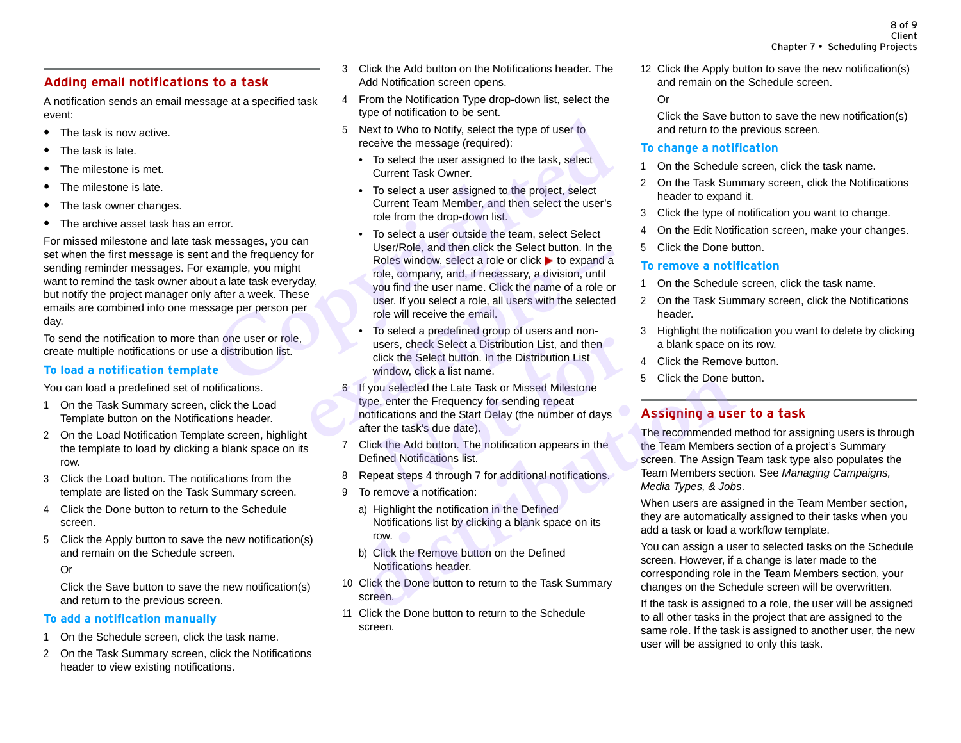# <span id="page-12-1"></span>**Adding email notifications to a task**

A notification sends an email message at a specified task event:

- **•** The task is now active.
- **•** The task is late.
- **•** The milestone is met.
- **•** The milestone is late.
- **•** The task owner changes.
- **•** The archive asset task has an error.

For missed milestone and late task messages, you can set when the first message is sent and the frequency for sending reminder messages. For example, you might want to remind the task owner about a late task everyday, but notify the project manager only after a week. These emails are combined into one message per person per day.

To send the notification to more than one user or role, create multiple notifications or use a distribution list.

#### **To load a notification template**

You can load a predefined set of notifications.

- 1 On the Task Summary screen, click the Load Template button on the Notifications header.
- 2 On the Load Notification Template screen, highlight the template to load by clicking a blank space on its row.
- 3 Click the Load button. The notifications from the template are listed on the Task Summary screen.
- 4 Click the Done button to return to the Schedule screen.
- 5 Click the Apply button to save the new notification(s) and remain on the Schedule screen.
	- Or

Click the Save button to save the new notification(s) and return to the previous screen.

#### **To add a notification manually**

- 1 On the Schedule screen, click the task name.
- 2 On the Task Summary screen, click the Notifications header to view existing notifications.
- 3 Click the Add button on the Notifications header. The Add Notification screen opens.
- <span id="page-12-2"></span>4 From the Notification Type drop-down list, select the type of notification to be sent.
- 5 Next to Who to Notify, select the type of user to receive the message (required):
	- To select the user assigned to the task, select Current Task Owner.
	- To select a user assigned to the project, select Current Team Member, and then select the user's role from the drop-down list.
- To select a user outside the team, select Select User/Role, and then click the Select button. In the Roles window, select a role or click  $\blacktriangleright$  to expand a role, company, and, if necessary, a division, until you find the user name. Click the name of a role or user. If you select a role, all users with the selected role will receive the email. For the sealed to Who to Notify, select the type of user to<br>
For the type of user to<br>
For select the user assigned to the task, select<br>
Current Task Owner.<br>
To select a user assigned to the project, select<br>
Current Teak Ow France Controllers window, select a role or click **b** to expand a<br>role, company, and, if necessary, a division, until<br>you find the user name. Click the name of a role or<br>user. If you select a role, all users with the selec
	- To select a predefined group of users and nonusers, check Select a Distribution List, and then click the Select button. In the Distribution List window, click a list name.
	- 6 If you selected the Late Task or Missed Milestone type, enter the Frequency for sending repeat notifications and the Start Delay (the number of days after the task's due date). users, check Select a Distribution List, and then<br>click the Select button. In the Distribution List<br>window, click a list name.<br>ou selected the Late Task or Missed Milestone<br>e, enter the Frequency for sending repeat<br>ificati If you selected the Late Task or Missed Milestone<br>
	type, enter the Frequency for sending repeat<br>
	notifications and the Start Delay (the number of days<br>
	after the task's due date).<br>
	Click the Add button. The notification ap
	- 7 Click the Add button. The notification appears in the Defined Notifications list.
	- 8 Repeat steps 4 through 7 for additional notifications.
	- 9 To remove a notification:
		- a) Highlight the notification in the Defined Notifications list by clicking a blank space on its row.
		- b) Click the Remove button on the Defined Notifications header.
	- 10 Click the Done button to return to the Task Summary screen.
	- 11 Click the Done button to return to the Schedule screen.

12 Click the Apply button to save the new notification(s) and remain on the Schedule screen.

Or

Click the Save button to save the new notification(s) and return to the previous screen.

#### **To change a notification**

- 1 On the Schedule screen, click the task name.
- 2 On the Task Summary screen, click the Notifications header to expand it.
- 3 Click the type of notification you want to change.
- 4 On the Edit Notification screen, make your changes.
- 5 Click the Done button.

#### **To remove a notification**

- 1 On the Schedule screen, click the task name.
- 2 On the Task Summary screen, click the Notifications header.
- 3 Highlight the notification you want to delete by clicking a blank space on its row.
- 4 Click the Remove button.
- 5 Click the Done button.

# <span id="page-12-0"></span>**Assigning a user to a task**

<span id="page-12-3"></span>The recommended method for assigning users is through the Team Members section of a project's Summary screen. The Assign Team task type also populates the Team Members section. See *Managing Campaigns, Media Types, & Jobs*.

When users are assigned in the Team Member section, they are automatically assigned to their tasks when you add a task or load a workflow template.

You can assign a user to selected tasks on the Schedule screen. However, if a change is later made to the corresponding role in the Team Members section, your changes on the Schedule screen will be overwritten.

If the task is assigned to a role, the user will be assigned to all other tasks in the project that are assigned to the same role. If the task is assigned to another user, the new user will be assigned to only this task.